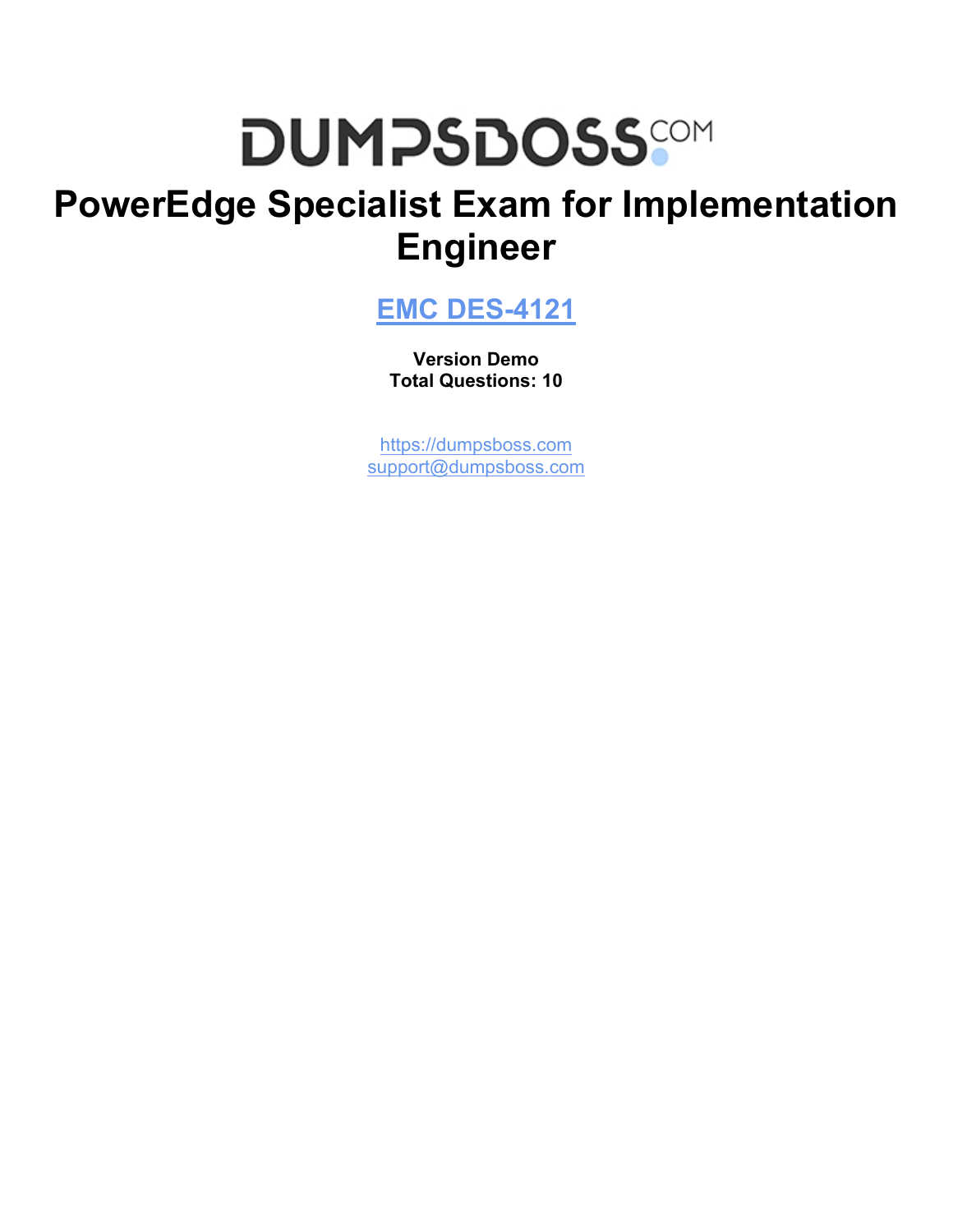# **DUMPSDOSS**

# **PowerEdge Specialist Exam for Implementation Engineer**

**[EMC DES-4121](https://dumpsboss.com/emc-exam/des-4121/)**

**Version Demo Total Questions: 10**

[https://dumpsboss.com](https://dumpsboss.com/) [support@dumpsboss.com](mailto:support@dumpsboss.com)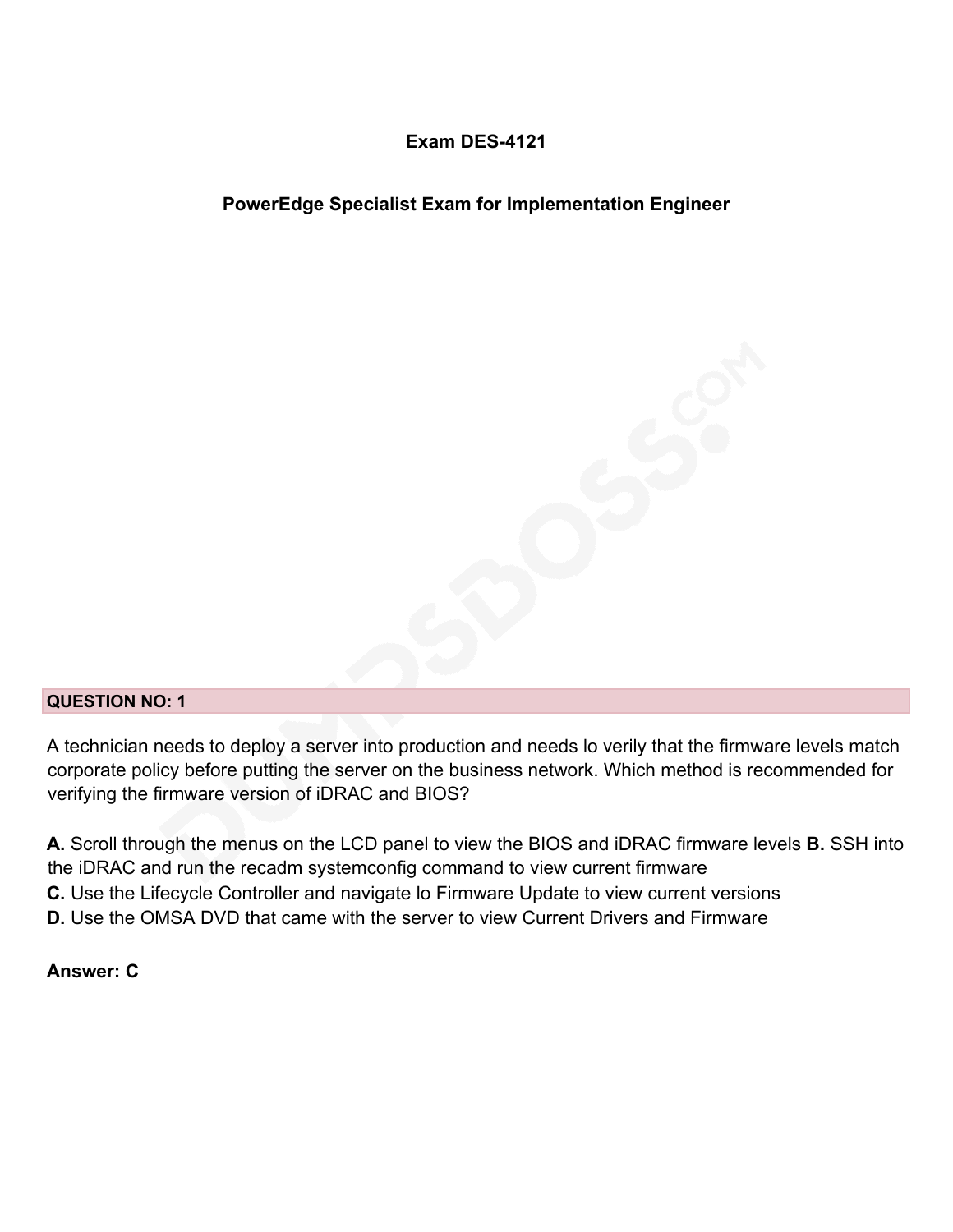#### **Exam DES-4121**

#### **PowerEdge Specialist Exam for Implementation Engineer**

#### **QUESTION NO: 1**

A technician needs to deploy a server into production and needs lo verily that the firmware levels match corporate policy before putting the server on the business network. Which method is recommended for verifying the firmware version of iDRAC and BIOS?

**A.** Scroll through the menus on the LCD panel to view the BIOS and iDRAC firmware levels **B.** SSH into the iDRAC and run the recadm systemconfig command to view current firmware **C.** Use the Lifecycle Controller and navigate lo Firmware Update to view current versions **D.** Use the OMSA DVD that came with the server to view Current Drivers and Firmware

#### **Answer: C**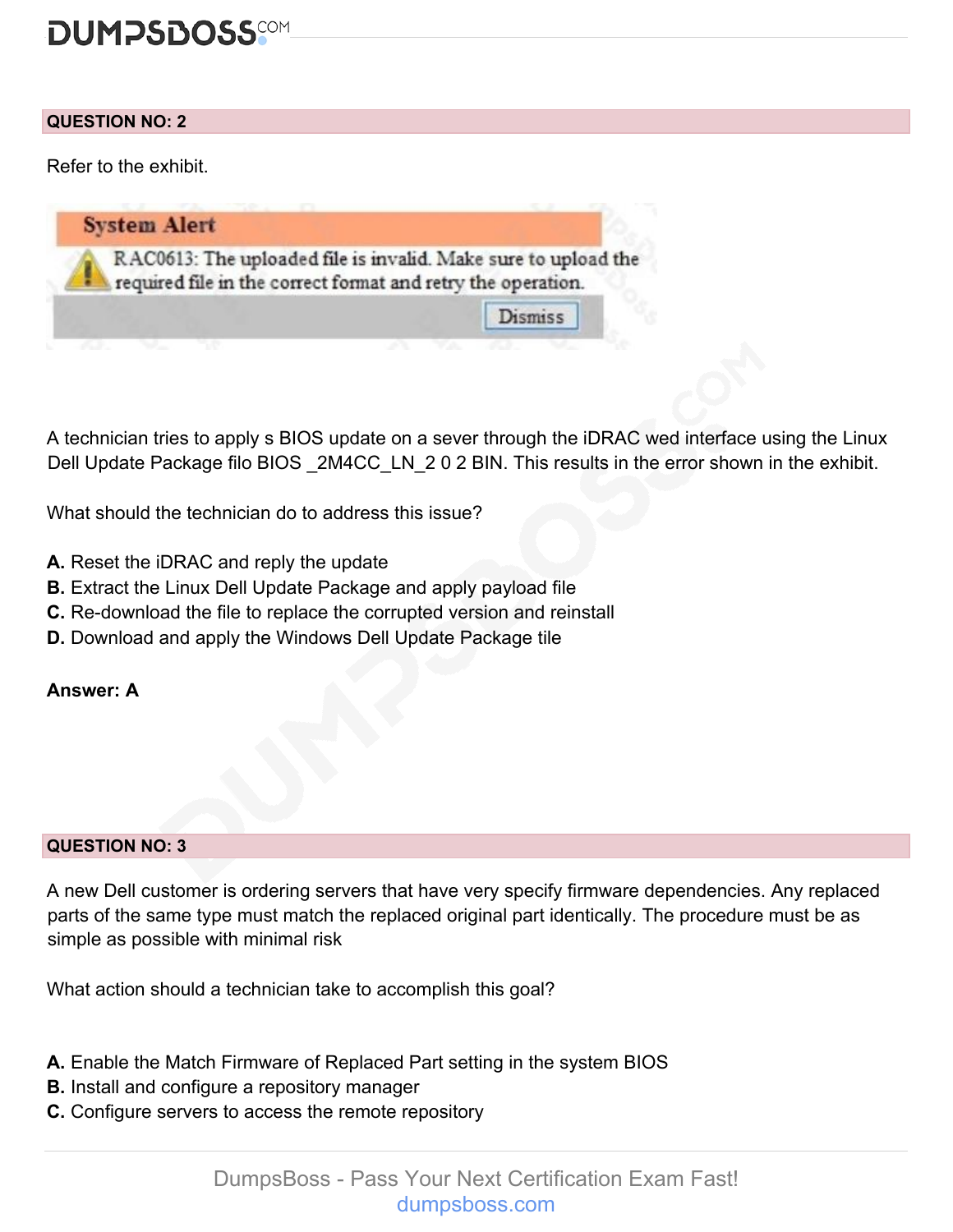## **DUMPSDOSS**COM

#### **QUESTION NO: 2**

Refer to the exhibit.



A technician tries to apply s BIOS update on a sever through the iDRAC wed interface using the Linux Dell Update Package filo BIOS 2M4CC LN 2 0 2 BIN. This results in the error shown in the exhibit.

What should the technician do to address this issue?

- **A.** Reset the iDRAC and reply the update
- **B.** Extract the Linux Dell Update Package and apply payload file
- **C.** Re-download the file to replace the corrupted version and reinstall
- **D.** Download and apply the Windows Dell Update Package tile

#### **Answer: A**

#### **QUESTION NO: 3**

A new Dell customer is ordering servers that have very specify firmware dependencies. Any replaced parts of the same type must match the replaced original part identically. The procedure must be as simple as possible with minimal risk

What action should a technician take to accomplish this goal?

- **A.** Enable the Match Firmware of Replaced Part setting in the system BIOS
- **B.** Install and configure a repository manager
- **C.** Configure servers to access the remote repository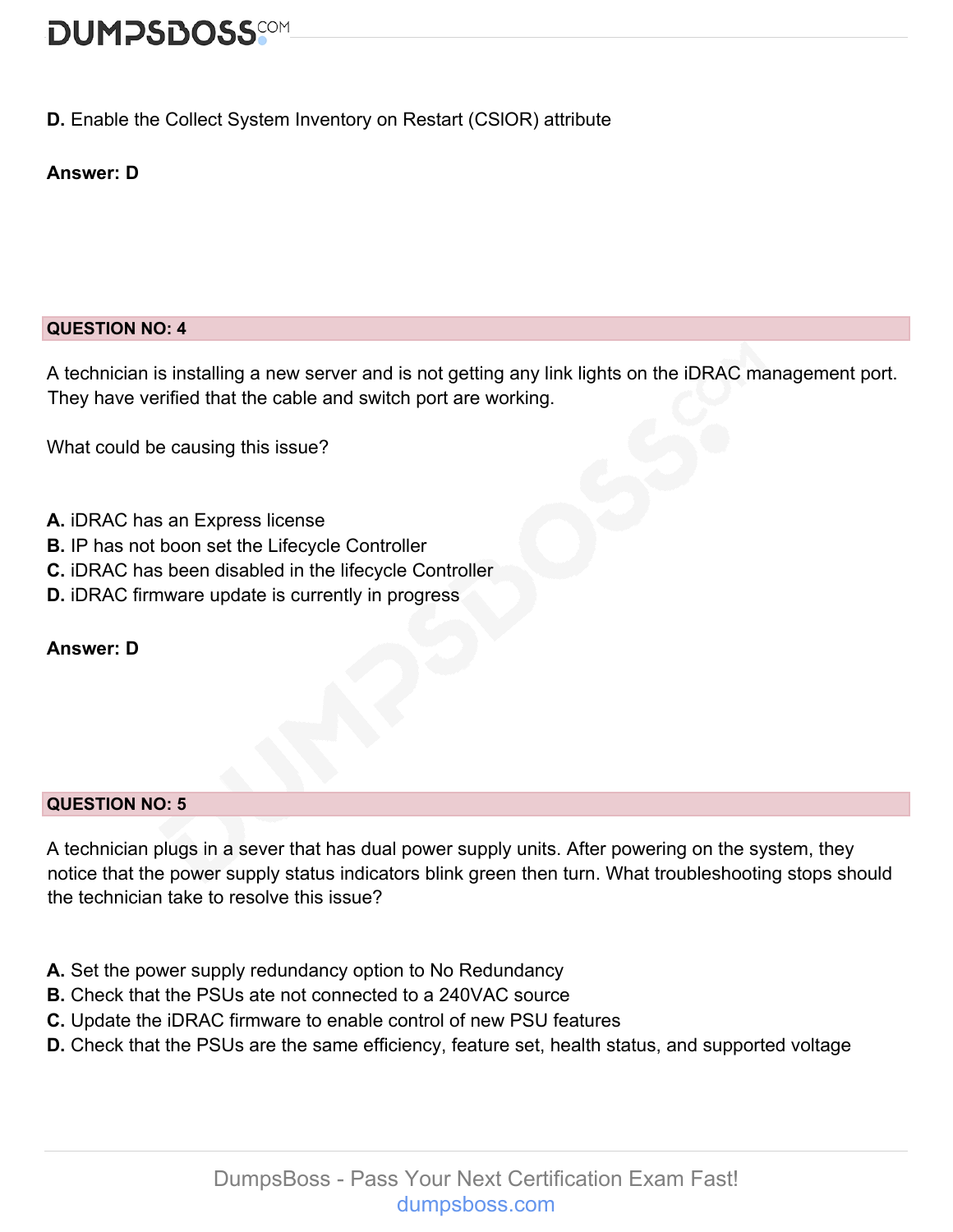# **DUMPSDOSS**

#### **D.** Enable the Collect System Inventory on Restart (CSlOR) attribute

#### **Answer: D**

#### **QUESTION NO: 4**

A technician is installing a new server and is not getting any link lights on the iDRAC management port. They have verified that the cable and switch port are working.

What could be causing this issue?

- **A.** iDRAC has an Express license
- **B.** IP has not boon set the Lifecycle Controller
- **C.** iDRAC has been disabled in the lifecycle Controller
- **D.** iDRAC firmware update is currently in progress

#### **Answer: D**

#### **QUESTION NO: 5**

A technician plugs in a sever that has dual power supply units. After powering on the system, they notice that the power supply status indicators blink green then turn. What troubleshooting stops should the technician take to resolve this issue?

- **A.** Set the power supply redundancy option to No Redundancy
- **B.** Check that the PSUs ate not connected to a 240VAC source
- **C.** Update the iDRAC firmware to enable control of new PSU features
- **D.** Check that the PSUs are the same efficiency, feature set, health status, and supported voltage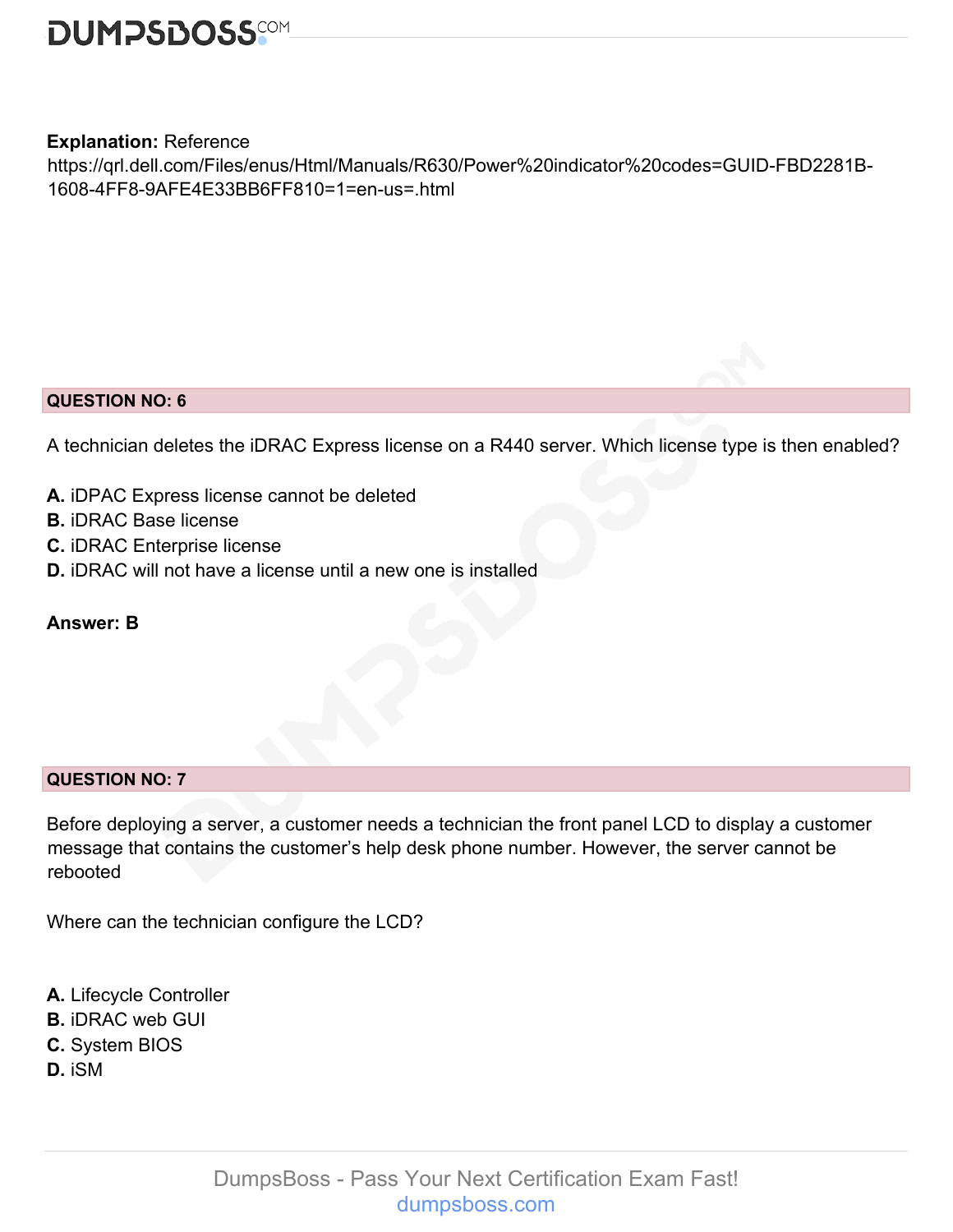

#### **Explanation:** Reference

https://qrl.dell.com/Files/enus/Html/Manuals/R630/Power%20indicator%20codes=GUID-FBD2281B-1608-4FF8-9AFE4E33BB6FF810=1=en-us=.html

#### **QUESTION NO: 6**

A technician deletes the iDRAC Express license on a R440 server. Which license type is then enabled?

- **A.** iDPAC Express license cannot be deleted
- **B.** iDRAC Base license
- **C.** iDRAC Enterprise license
- **D.** iDRAC will not have a license until a new one is installed

#### **Answer: B**

#### **QUESTION NO: 7**

Before deploying a server, a customer needs a technician the front panel LCD to display a customer message that contains the customer's help desk phone number. However, the server cannot be rebooted

Where can the technician configure the LCD?

- **A.** Lifecycle Controller
- **B.** iDRAC web GUI
- **C.** System BIOS
- **D.** iSM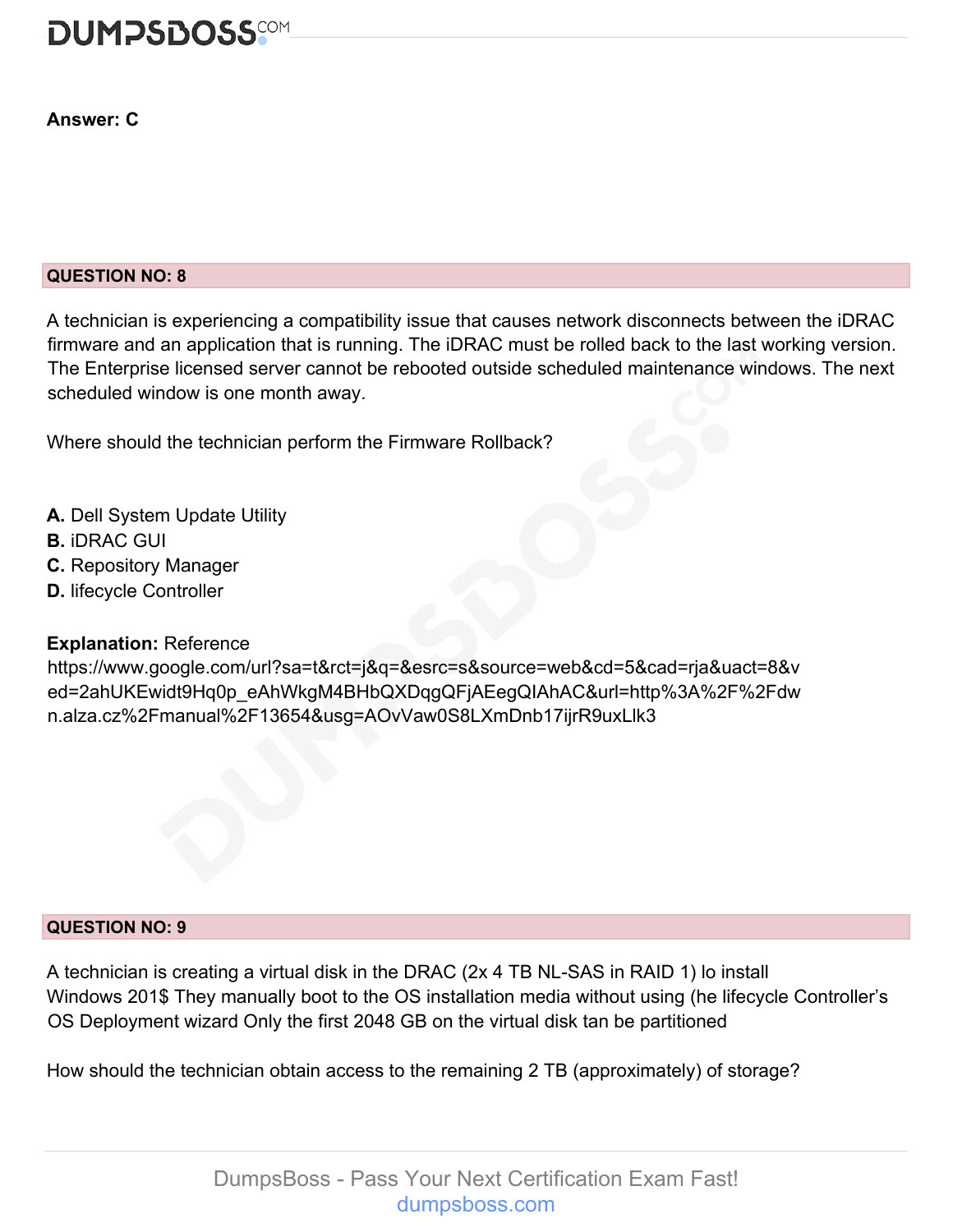

#### **Answer: C**

#### **QUESTION NO: 8**

A technician is experiencing a compatibility issue that causes network disconnects between the iDRAC firmware and an application that is running. The iDRAC must be rolled back to the last working version. The Enterprise licensed server cannot be rebooted outside scheduled maintenance windows. The next scheduled window is one month away.

Where should the technician perform the Firmware Rollback?

- **A.** Dell System Update Utility
- **B.** iDRAC GUI
- **C.** Repository Manager
- **D.** lifecycle Controller

#### **Explanation:** Reference

https://www.google.com/url?sa=t&rct=j&q=&esrc=s&source=web&cd=5&cad=rja&uact=8&v ed=2ahUKEwidt9Hq0p\_eAhWkgM4BHbQXDqgQFjAEegQIAhAC&url=http%3A%2F%2Fdw n.alza.cz%2Fmanual%2F13654&usg=AOvVaw0S8LXmDnb17ijrR9uxLlk3

#### **QUESTION NO: 9**

A technician is creating a virtual disk in the DRAC (2x 4 TB NL-SAS in RAID 1) lo install Windows 201\$ They manually boot to the OS installation media without using (he lifecycle Controller's OS Deployment wizard Only the first 2048 GB on the virtual disk tan be partitioned

How should the technician obtain access to the remaining 2 TB (approximately) of storage?